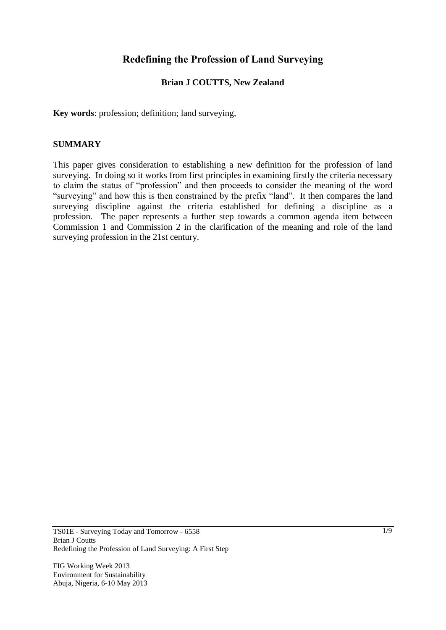# **Redefining the Profession of Land Surveying**

## **Brian J COUTTS, New Zealand**

**Key words**: profession; definition; land surveying,

#### **SUMMARY**

This paper gives consideration to establishing a new definition for the profession of land surveying. In doing so it works from first principles in examining firstly the criteria necessary to claim the status of "profession" and then proceeds to consider the meaning of the word "surveying" and how this is then constrained by the prefix "land". It then compares the land surveying discipline against the criteria established for defining a discipline as a profession. The paper represents a further step towards a common agenda item between Commission 1 and Commission 2 in the clarification of the meaning and role of the land surveying profession in the 21st century.

FIG Working Week 2013 Environment for Sustainability Abuja, Nigeria, 6-10 May 2013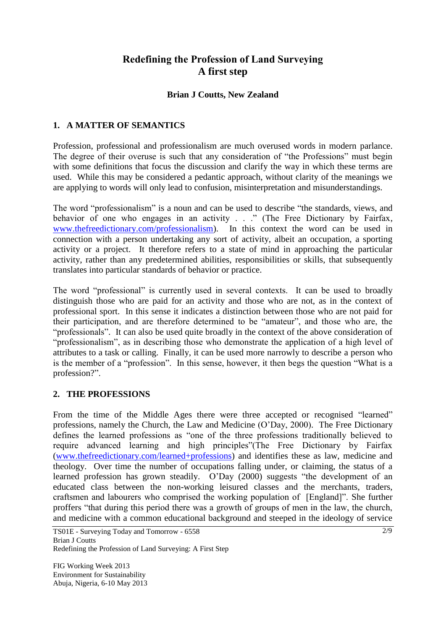# **Redefining the Profession of Land Surveying A first step**

## **Brian J Coutts, New Zealand**

# **1. A MATTER OF SEMANTICS**

Profession, professional and professionalism are much overused words in modern parlance. The degree of their overuse is such that any consideration of "the Professions" must begin with some definitions that focus the discussion and clarify the way in which these terms are used. While this may be considered a pedantic approach, without clarity of the meanings we are applying to words will only lead to confusion, misinterpretation and misunderstandings.

The word "professionalism" is a noun and can be used to describe "the standards, views, and behavior of one who engages in an activity . . ." (The Free Dictionary by Fairfax, [www.thefreedictionary.com/professionalism\)](http://www.thefreedictionary.com/professionalism). In this context the word can be used in connection with a person undertaking any sort of activity, albeit an occupation, a sporting activity or a project. It therefore refers to a state of mind in approaching the particular activity, rather than any predetermined abilities, responsibilities or skills, that subsequently translates into particular standards of behavior or practice.

The word "professional" is currently used in several contexts. It can be used to broadly distinguish those who are paid for an activity and those who are not, as in the context of professional sport. In this sense it indicates a distinction between those who are not paid for their participation, and are therefore determined to be "amateur", and those who are, the "professionals". It can also be used quite broadly in the context of the above consideration of "professionalism", as in describing those who demonstrate the application of a high level of attributes to a task or calling. Finally, it can be used more narrowly to describe a person who is the member of a "profession". In this sense, however, it then begs the question "What is a profession?".

## **2. THE PROFESSIONS**

From the time of the Middle Ages there were three accepted or recognised "learned" professions, namely the Church, the Law and Medicine (O"Day, 2000). The Free Dictionary defines the learned professions as "one of the three professions traditionally believed to require advanced learning and high principles"(The Free Dictionary by Fairfax [\(www.thefreedictionary.com/learned+professions\)](http://www.thefreedictionary.com/learned+professions) and identifies these as law, medicine and theology. Over time the number of occupations falling under, or claiming, the status of a learned profession has grown steadily. O"Day (2000) suggests "the development of an educated class between the non-working leisured classes and the merchants, traders, craftsmen and labourers who comprised the working population of [England]". She further proffers "that during this period there was a growth of groups of men in the law, the church, and medicine with a common educational background and steeped in the ideology of service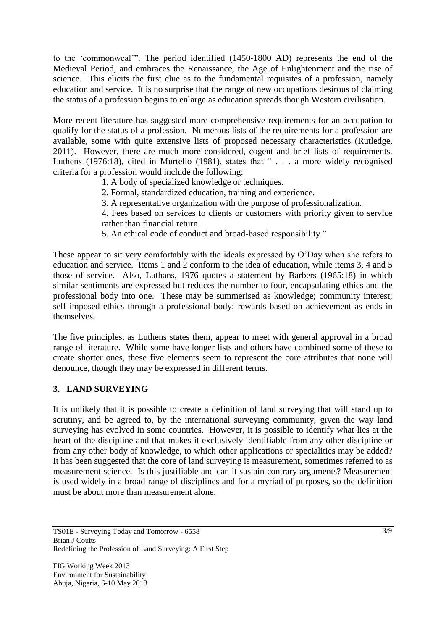to the "commonweal"". The period identified (1450-1800 AD) represents the end of the Medieval Period, and embraces the Renaissance, the Age of Enlightenment and the rise of science. This elicits the first clue as to the fundamental requisites of a profession, namely education and service. It is no surprise that the range of new occupations desirous of claiming the status of a profession begins to enlarge as education spreads though Western civilisation.

More recent literature has suggested more comprehensive requirements for an occupation to qualify for the status of a profession. Numerous lists of the requirements for a profession are available, some with quite extensive lists of proposed necessary characteristics (Rutledge, 2011). However, there are much more considered, cogent and brief lists of requirements. Luthens (1976:18), cited in Murtello (1981), states that " . . . a more widely recognised criteria for a profession would include the following:

- 1. A body of specialized knowledge or techniques.
- 2. Formal, standardized education, training and experience.
- 3. A representative organization with the purpose of professionalization.
- 4. Fees based on services to clients or customers with priority given to service rather than financial return.
- 5. An ethical code of conduct and broad-based responsibility."

These appear to sit very comfortably with the ideals expressed by O"Day when she refers to education and service. Items 1 and 2 conform to the idea of education, while items 3, 4 and 5 those of service. Also, Luthans, 1976 quotes a statement by Barbers (1965:18) in which similar sentiments are expressed but reduces the number to four, encapsulating ethics and the professional body into one. These may be summerised as knowledge; community interest; self imposed ethics through a professional body; rewards based on achievement as ends in themselves.

The five principles, as Luthens states them, appear to meet with general approval in a broad range of literature. While some have longer lists and others have combined some of these to create shorter ones, these five elements seem to represent the core attributes that none will denounce, though they may be expressed in different terms.

## **3. LAND SURVEYING**

It is unlikely that it is possible to create a definition of land surveying that will stand up to scrutiny, and be agreed to, by the international surveying community, given the way land surveying has evolved in some countries. However, it is possible to identify what lies at the heart of the discipline and that makes it exclusively identifiable from any other discipline or from any other body of knowledge, to which other applications or specialities may be added? It has been suggested that the core of land surveying is measurement, sometimes referred to as measurement science. Is this justifiable and can it sustain contrary arguments? Measurement is used widely in a broad range of disciplines and for a myriad of purposes, so the definition must be about more than measurement alone.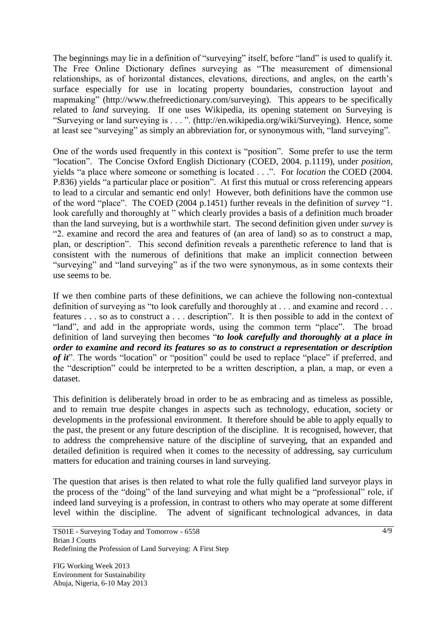The beginnings may lie in a definition of "surveying" itself, before "land" is used to qualify it. The Free Online Dictionary defines surveying as "The measurement of dimensional relationships, as of horizontal distances, elevations, directions, and angles, on the earth"s surface especially for use in locating property boundaries, construction layout and mapmaking" (http://www.thefreedictionary.com/surveying). This appears to be specifically related to *land* surveying. If one uses Wikipedia, its opening statement on Surveying is "Surveying or land surveying is . . . ". (http://en.wikipedia.org/wiki/Surveying). Hence, some at least see "surveying" as simply an abbreviation for, or synonymous with, "land surveying".

One of the words used frequently in this context is "position". Some prefer to use the term "location". The Concise Oxford English Dictionary (COED, 2004. p.1119), under *position,* yields "a place where someone or something is located . . .". For *location* the COED (2004. P.836) yields "a particular place or position". At first this mutual or cross referencing appears to lead to a circular and semantic end only! However, both definitions have the common use of the word "place". The COED (2004 p.1451) further reveals in the definition of *survey* "1. look carefully and thoroughly at " which clearly provides a basis of a definition much broader than the land surveying, but is a worthwhile start. The second definition given under *survey* is "2. examine and record the area and features of (an area of land) so as to construct a map, plan, or description". This second definition reveals a parenthetic reference to land that is consistent with the numerous of definitions that make an implicit connection between "surveying" and "land surveying" as if the two were synonymous, as in some contexts their use seems to be.

If we then combine parts of these definitions, we can achieve the following non-contextual definition of surveying as "to look carefully and thoroughly at . . . and examine and record . . . features . . . so as to construct a . . . description". It is then possible to add in the context of "land", and add in the appropriate words, using the common term "place". The broad definition of land surveying then becomes "*to look carefully and thoroughly at a place in order to examine and record its features so as to construct a representation or description of it*". The words "location" or "position" could be used to replace "place" if preferred, and the "description" could be interpreted to be a written description, a plan, a map, or even a dataset.

This definition is deliberately broad in order to be as embracing and as timeless as possible, and to remain true despite changes in aspects such as technology, education, society or developments in the professional environment. It therefore should be able to apply equally to the past, the present or any future description of the discipline. It is recognised, however, that to address the comprehensive nature of the discipline of surveying, that an expanded and detailed definition is required when it comes to the necessity of addressing, say curriculum matters for education and training courses in land surveying.

The question that arises is then related to what role the fully qualified land surveyor plays in the process of the "doing" of the land surveying and what might be a "professional" role, if indeed land surveying is a profession, in contrast to others who may operate at some different level within the discipline. The advent of significant technological advances, in data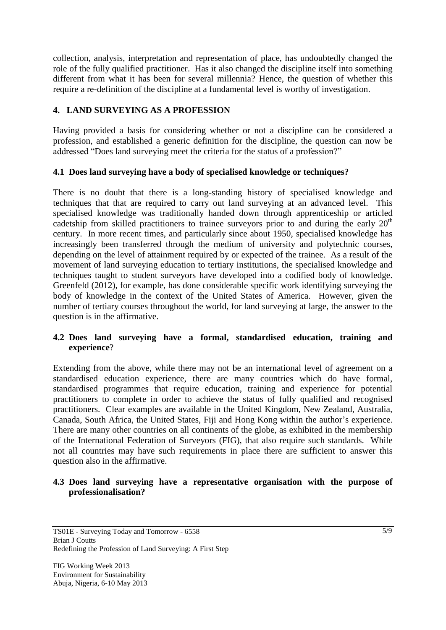collection, analysis, interpretation and representation of place, has undoubtedly changed the role of the fully qualified practitioner. Has it also changed the discipline itself into something different from what it has been for several millennia? Hence, the question of whether this require a re-definition of the discipline at a fundamental level is worthy of investigation.

## **4. LAND SURVEYING AS A PROFESSION**

Having provided a basis for considering whether or not a discipline can be considered a profession, and established a generic definition for the discipline, the question can now be addressed "Does land surveying meet the criteria for the status of a profession?"

## **4.1 Does land surveying have a body of specialised knowledge or techniques?**

There is no doubt that there is a long-standing history of specialised knowledge and techniques that that are required to carry out land surveying at an advanced level. This specialised knowledge was traditionally handed down through apprenticeship or articled cadetship from skilled practitioners to trainee surveyors prior to and during the early  $20<sup>th</sup>$ century. In more recent times, and particularly since about 1950, specialised knowledge has increasingly been transferred through the medium of university and polytechnic courses, depending on the level of attainment required by or expected of the trainee. As a result of the movement of land surveying education to tertiary institutions, the specialised knowledge and techniques taught to student surveyors have developed into a codified body of knowledge. Greenfeld (2012), for example, has done considerable specific work identifying surveying the body of knowledge in the context of the United States of America. However, given the number of tertiary courses throughout the world, for land surveying at large, the answer to the question is in the affirmative.

## **4.2 Does land surveying have a formal, standardised education, training and experience**?

Extending from the above, while there may not be an international level of agreement on a standardised education experience, there are many countries which do have formal, standardised programmes that require education, training and experience for potential practitioners to complete in order to achieve the status of fully qualified and recognised practitioners. Clear examples are available in the United Kingdom, New Zealand, Australia, Canada, South Africa, the United States, Fiji and Hong Kong within the author's experience. There are many other countries on all continents of the globe, as exhibited in the membership of the International Federation of Surveyors (FIG), that also require such standards. While not all countries may have such requirements in place there are sufficient to answer this question also in the affirmative.

#### **4.3 Does land surveying have a representative organisation with the purpose of professionalisation?**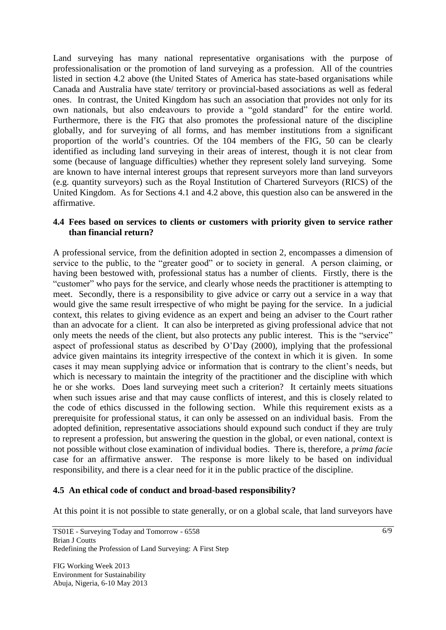Land surveying has many national representative organisations with the purpose of professionalisation or the promotion of land surveying as a profession. All of the countries listed in section 4.2 above (the United States of America has state-based organisations while Canada and Australia have state/ territory or provincial-based associations as well as federal ones. In contrast, the United Kingdom has such an association that provides not only for its own nationals, but also endeavours to provide a "gold standard" for the entire world. Furthermore, there is the FIG that also promotes the professional nature of the discipline globally, and for surveying of all forms, and has member institutions from a significant proportion of the world"s countries. Of the 104 members of the FIG, 50 can be clearly identified as including land surveying in their areas of interest, though it is not clear from some (because of language difficulties) whether they represent solely land surveying. Some are known to have internal interest groups that represent surveyors more than land surveyors (e.g. quantity surveyors) such as the Royal Institution of Chartered Surveyors (RICS) of the United Kingdom. As for Sections 4.1 and 4.2 above, this question also can be answered in the affirmative.

#### **4.4 Fees based on services to clients or customers with priority given to service rather than financial return?**

A professional service, from the definition adopted in section 2, encompasses a dimension of service to the public, to the "greater good" or to society in general. A person claiming, or having been bestowed with, professional status has a number of clients. Firstly, there is the "customer" who pays for the service, and clearly whose needs the practitioner is attempting to meet. Secondly, there is a responsibility to give advice or carry out a service in a way that would give the same result irrespective of who might be paying for the service. In a judicial context, this relates to giving evidence as an expert and being an adviser to the Court rather than an advocate for a client. It can also be interpreted as giving professional advice that not only meets the needs of the client, but also protects any public interest. This is the "service" aspect of professional status as described by O"Day (2000), implying that the professional advice given maintains its integrity irrespective of the context in which it is given. In some cases it may mean supplying advice or information that is contrary to the client's needs, but which is necessary to maintain the integrity of the practitioner and the discipline with which he or she works. Does land surveying meet such a criterion? It certainly meets situations when such issues arise and that may cause conflicts of interest, and this is closely related to the code of ethics discussed in the following section. While this requirement exists as a prerequisite for professional status, it can only be assessed on an individual basis. From the adopted definition, representative associations should expound such conduct if they are truly to represent a profession, but answering the question in the global, or even national, context is not possible without close examination of individual bodies. There is, therefore, a *prima facie* case for an affirmative answer. The response is more likely to be based on individual responsibility, and there is a clear need for it in the public practice of the discipline.

## **4.5 An ethical code of conduct and broad-based responsibility?**

At this point it is not possible to state generally, or on a global scale, that land surveyors have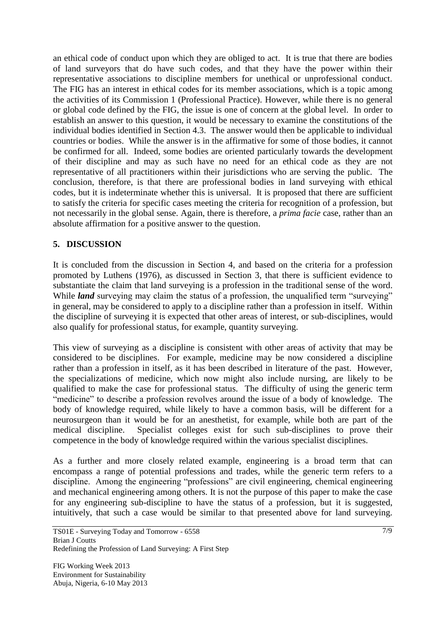an ethical code of conduct upon which they are obliged to act. It is true that there are bodies of land surveyors that do have such codes, and that they have the power within their representative associations to discipline members for unethical or unprofessional conduct. The FIG has an interest in ethical codes for its member associations, which is a topic among the activities of its Commission 1 (Professional Practice). However, while there is no general or global code defined by the FIG, the issue is one of concern at the global level. In order to establish an answer to this question, it would be necessary to examine the constitutions of the individual bodies identified in Section 4.3. The answer would then be applicable to individual countries or bodies. While the answer is in the affirmative for some of those bodies, it cannot be confirmed for all. Indeed, some bodies are oriented particularly towards the development of their discipline and may as such have no need for an ethical code as they are not representative of all practitioners within their jurisdictions who are serving the public. The conclusion, therefore, is that there are professional bodies in land surveying with ethical codes, but it is indeterminate whether this is universal. It is proposed that there are sufficient to satisfy the criteria for specific cases meeting the criteria for recognition of a profession, but not necessarily in the global sense. Again, there is therefore, a *prima facie* case, rather than an absolute affirmation for a positive answer to the question.

## **5. DISCUSSION**

It is concluded from the discussion in Section 4, and based on the criteria for a profession promoted by Luthens (1976), as discussed in Section 3, that there is sufficient evidence to substantiate the claim that land surveying is a profession in the traditional sense of the word. While *land* surveying may claim the status of a profession, the unqualified term "surveying" in general, may be considered to apply to a discipline rather than a profession in itself. Within the discipline of surveying it is expected that other areas of interest, or sub-disciplines, would also qualify for professional status, for example, quantity surveying.

This view of surveying as a discipline is consistent with other areas of activity that may be considered to be disciplines. For example, medicine may be now considered a discipline rather than a profession in itself, as it has been described in literature of the past. However, the specializations of medicine, which now might also include nursing, are likely to be qualified to make the case for professional status. The difficulty of using the generic term "medicine" to describe a profession revolves around the issue of a body of knowledge. The body of knowledge required, while likely to have a common basis, will be different for a neurosurgeon than it would be for an anesthetist, for example, while both are part of the medical discipline. Specialist colleges exist for such sub-disciplines to prove their competence in the body of knowledge required within the various specialist disciplines.

As a further and more closely related example, engineering is a broad term that can encompass a range of potential professions and trades, while the generic term refers to a discipline. Among the engineering "professions" are civil engineering, chemical engineering and mechanical engineering among others. It is not the purpose of this paper to make the case for any engineering sub-discipline to have the status of a profession, but it is suggested, intuitively, that such a case would be similar to that presented above for land surveying.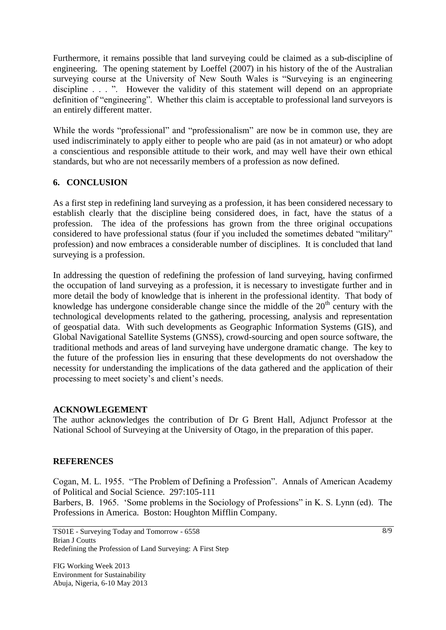Furthermore, it remains possible that land surveying could be claimed as a sub-discipline of engineering. The opening statement by Loeffel (2007) in his history of the of the Australian surveying course at the University of New South Wales is "Surveying is an engineering discipline . . . ". However the validity of this statement will depend on an appropriate definition of "engineering". Whether this claim is acceptable to professional land surveyors is an entirely different matter.

While the words "professional" and "professionalism" are now be in common use, they are used indiscriminately to apply either to people who are paid (as in not amateur) or who adopt a conscientious and responsible attitude to their work, and may well have their own ethical standards, but who are not necessarily members of a profession as now defined.

# **6. CONCLUSION**

As a first step in redefining land surveying as a profession, it has been considered necessary to establish clearly that the discipline being considered does, in fact, have the status of a profession. The idea of the professions has grown from the three original occupations considered to have professional status (four if you included the sometimes debated "military" profession) and now embraces a considerable number of disciplines. It is concluded that land surveying is a profession.

In addressing the question of redefining the profession of land surveying, having confirmed the occupation of land surveying as a profession, it is necessary to investigate further and in more detail the body of knowledge that is inherent in the professional identity. That body of knowledge has undergone considerable change since the middle of the  $20<sup>th</sup>$  century with the technological developments related to the gathering, processing, analysis and representation of geospatial data. With such developments as Geographic Information Systems (GIS), and Global Navigational Satellite Systems (GNSS), crowd-sourcing and open source software, the traditional methods and areas of land surveying have undergone dramatic change. The key to the future of the profession lies in ensuring that these developments do not overshadow the necessity for understanding the implications of the data gathered and the application of their processing to meet society"s and client"s needs.

## **ACKNOWLEGEMENT**

The author acknowledges the contribution of Dr G Brent Hall, Adjunct Professor at the National School of Surveying at the University of Otago, in the preparation of this paper.

## **REFERENCES**

Cogan, M. L. 1955. "The Problem of Defining a Profession". Annals of American Academy of Political and Social Science. 297:105-111 Barbers, B. 1965. 'Some problems in the Sociology of Professions" in K. S. Lynn (ed). The Professions in America. Boston: Houghton Mifflin Company.

TS01E - Surveying Today and Tomorrow - 6558 Brian J Coutts Redefining the Profession of Land Surveying: A First Step

FIG Working Week 2013 Environment for Sustainability Abuja, Nigeria, 6-10 May 2013